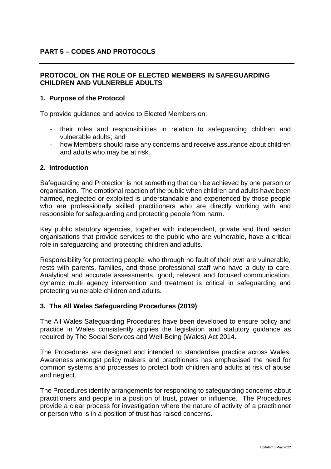### **PROTOCOL ON THE ROLE OF ELECTED MEMBERS IN SAFEGUARDING CHILDREN AND VULNERBLE ADULTS**

### **1. Purpose of the Protocol**

To provide guidance and advice to Elected Members on:

- their roles and responsibilities in relation to safeguarding children and vulnerable adults; and
- how Members should raise any concerns and receive assurance about children and adults who may be at risk.

#### **2. Introduction**

Safeguarding and Protection is not something that can be achieved by one person or organisation. The emotional reaction of the public when children and adults have been harmed, neglected or exploited is understandable and experienced by those people who are professionally skilled practitioners who are directly working with and responsible for safeguarding and protecting people from harm.

Key public statutory agencies, together with independent, private and third sector organisations that provide services to the public who are vulnerable, have a critical role in safeguarding and protecting children and adults.

Responsibility for protecting people, who through no fault of their own are vulnerable, rests with parents, families, and those professional staff who have a duty to care. Analytical and accurate assessments, good, relevant and focused communication, dynamic multi agency intervention and treatment is critical in safeguarding and protecting vulnerable children and adults.

#### **3. The All Wales Safeguarding Procedures (2019)**

The All Wales Safeguarding Procedures have been developed to ensure policy and practice in Wales consistently applies the legislation and statutory guidance as required by The Social Services and Well-Being (Wales) Act 2014.

The Procedures are designed and intended to standardise practice across Wales. Awareness amongst policy makers and practitioners has emphasised the need for common systems and processes to protect both children and adults at risk of abuse and neglect.

The Procedures identify arrangements for responding to safeguarding concerns about practitioners and people in a position of trust, power or influence. The Procedures provide a clear process for investigation where the nature of activity of a practitioner or person who is in a position of trust has raised concerns.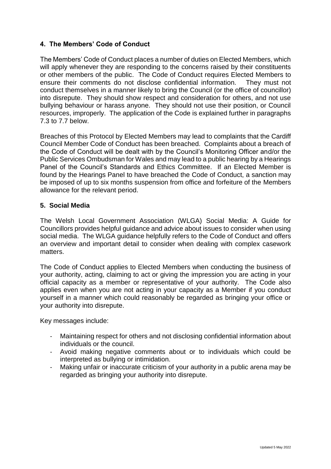# **4. The Members' Code of Conduct**

The Members' Code of Conduct places a number of duties on Elected Members, which will apply whenever they are responding to the concerns raised by their constituents or other members of the public. The Code of Conduct requires Elected Members to ensure their comments do not disclose confidential information. They must not conduct themselves in a manner likely to bring the Council (or the office of councillor) into disrepute. They should show respect and consideration for others, and not use bullying behaviour or harass anyone. They should not use their position, or Council resources, improperly. The application of the Code is explained further in paragraphs 7.3 to 7.7 below.

Breaches of this Protocol by Elected Members may lead to complaints that the Cardiff Council Member Code of Conduct has been breached. Complaints about a breach of the Code of Conduct will be dealt with by the Council's Monitoring Officer and/or the Public Services Ombudsman for Wales and may lead to a public hearing by a Hearings Panel of the Council's Standards and Ethics Committee. If an Elected Member is found by the Hearings Panel to have breached the Code of Conduct, a sanction may be imposed of up to six months suspension from office and forfeiture of the Members allowance for the relevant period.

### **5. Social Media**

The Welsh Local Government Association (WLGA) Social Media: A Guide for Councillors provides helpful guidance and advice about issues to consider when using social media. The WLGA guidance helpfully refers to the Code of Conduct and offers an overview and important detail to consider when dealing with complex casework matters.

The Code of Conduct applies to Elected Members when conducting the business of your authority, acting, claiming to act or giving the impression you are acting in your official capacity as a member or representative of your authority. The Code also applies even when you are not acting in your capacity as a Member if you conduct yourself in a manner which could reasonably be regarded as bringing your office or your authority into disrepute.

Key messages include:

- Maintaining respect for others and not disclosing confidential information about individuals or the council.
- Avoid making negative comments about or to individuals which could be interpreted as bullying or intimidation.
- Making unfair or inaccurate criticism of your authority in a public arena may be regarded as bringing your authority into disrepute.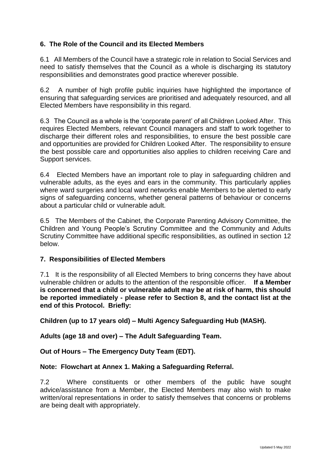# **6. The Role of the Council and its Elected Members**

6.1 All Members of the Council have a strategic role in relation to Social Services and need to satisfy themselves that the Council as a whole is discharging its statutory responsibilities and demonstrates good practice wherever possible.

6.2 A number of high profile public inquiries have highlighted the importance of ensuring that safeguarding services are prioritised and adequately resourced, and all Elected Members have responsibility in this regard.

6.3 The Council as a whole is the 'corporate parent' of all Children Looked After. This requires Elected Members, relevant Council managers and staff to work together to discharge their different roles and responsibilities, to ensure the best possible care and opportunities are provided for Children Looked After. The responsibility to ensure the best possible care and opportunities also applies to children receiving Care and Support services.

6.4 Elected Members have an important role to play in safeguarding children and vulnerable adults, as the eyes and ears in the community. This particularly applies where ward surgeries and local ward networks enable Members to be alerted to early signs of safeguarding concerns, whether general patterns of behaviour or concerns about a particular child or vulnerable adult.

6.5 The Members of the Cabinet, the Corporate Parenting Advisory Committee, the Children and Young People's Scrutiny Committee and the Community and Adults Scrutiny Committee have additional specific responsibilities, as outlined in section 12 below.

## **7. Responsibilities of Elected Members**

7.1 It is the responsibility of all Elected Members to bring concerns they have about vulnerable children or adults to the attention of the responsible officer. **If a Member is concerned that a child or vulnerable adult may be at risk of harm, this should be reported immediately - please refer to Section 8, and the contact list at the end of this Protocol. Briefly:**

**Children (up to 17 years old) – Multi Agency Safeguarding Hub (MASH).**

**Adults (age 18 and over) – The Adult Safeguarding Team.**

**Out of Hours – The Emergency Duty Team (EDT).**

## **Note: Flowchart at Annex 1. Making a Safeguarding Referral.**

7.2 Where constituents or other members of the public have sought advice/assistance from a Member, the Elected Members may also wish to make written/oral representations in order to satisfy themselves that concerns or problems are being dealt with appropriately.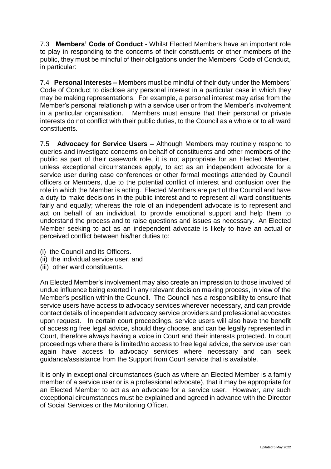7.3 **Members' Code of Conduct** - Whilst Elected Members have an important role to play in responding to the concerns of their constituents or other members of the public, they must be mindful of their obligations under the Members' Code of Conduct, in particular:

7.4 **Personal Interests –** Members must be mindful of their duty under the Members' Code of Conduct to disclose any personal interest in a particular case in which they may be making representations. For example, a personal interest may arise from the Member's personal relationship with a service user or from the Member's involvement<br>in a particular organisation. Members must ensure that their personal or private Members must ensure that their personal or private interests do not conflict with their public duties, to the Council as a whole or to all ward constituents.

7.5 **Advocacy for Service Users –** Although Members may routinely respond to queries and investigate concerns on behalf of constituents and other members of the public as part of their casework role, it is not appropriate for an Elected Member, unless exceptional circumstances apply, to act as an independent advocate for a service user during case conferences or other formal meetings attended by Council officers or Members, due to the potential conflict of interest and confusion over the role in which the Member is acting. Elected Members are part of the Council and have a duty to make decisions in the public interest and to represent all ward constituents fairly and equally; whereas the role of an independent advocate is to represent and act on behalf of an individual, to provide emotional support and help them to understand the process and to raise questions and issues as necessary. An Elected Member seeking to act as an independent advocate is likely to have an actual or perceived conflict between his/her duties to:

- (i) the Council and its Officers.
- (ii) the individual service user, and
- (iii) other ward constituents.

An Elected Member's involvement may also create an impression to those involved of undue influence being exerted in any relevant decision making process, in view of the Member's position within the Council. The Council has a responsibility to ensure that service users have access to advocacy services wherever necessary, and can provide contact details of independent advocacy service providers and professional advocates upon request. In certain court proceedings, service users will also have the benefit of accessing free legal advice, should they choose, and can be legally represented in Court, therefore always having a voice in Court and their interests protected. In court proceedings where there is limited/no access to free legal advice, the service user can again have access to advocacy services where necessary and can seek guidance/assistance from the Support from Court service that is available.

It is only in exceptional circumstances (such as where an Elected Member is a family member of a service user or is a professional advocate), that it may be appropriate for an Elected Member to act as an advocate for a service user. However, any such exceptional circumstances must be explained and agreed in advance with the Director of Social Services or the Monitoring Officer.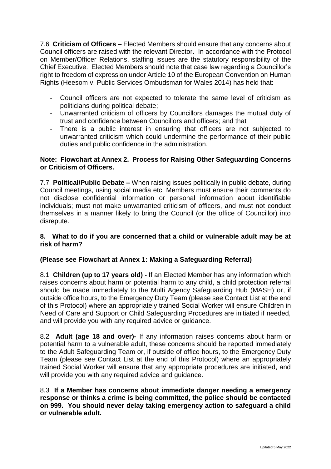7.6 **Criticism of Officers –** Elected Members should ensure that any concerns about Council officers are raised with the relevant Director. In accordance with the Protocol on Member/Officer Relations, staffing issues are the statutory responsibility of the Chief Executive. Elected Members should note that case law regarding a Councillor's right to freedom of expression under Article 10 of the European Convention on Human Rights (Heesom v. Public Services Ombudsman for Wales 2014) has held that:

- Council officers are not expected to tolerate the same level of criticism as politicians during political debate;
- Unwarranted criticism of officers by Councillors damages the mutual duty of trust and confidence between Councillors and officers; and that
- There is a public interest in ensuring that officers are not subjected to unwarranted criticism which could undermine the performance of their public duties and public confidence in the administration.

### **Note: Flowchart at Annex 2. Process for Raising Other Safeguarding Concerns or Criticism of Officers.**

7.7 **Political/Public Debate –** When raising issues politically in public debate, during Council meetings, using social media etc, Members must ensure their comments do not disclose confidential information or personal information about identifiable individuals; must not make unwarranted criticism of officers, and must not conduct themselves in a manner likely to bring the Council (or the office of Councillor) into disrepute.

### **8. What to do if you are concerned that a child or vulnerable adult may be at risk of harm?**

## **(Please see Flowchart at Annex 1: Making a Safeguarding Referral)**

8.1 **Children (up to 17 years old) -** If an Elected Member has any information which raises concerns about harm or potential harm to any child, a child protection referral should be made immediately to the Multi Agency Safeguarding Hub (MASH) or, if outside office hours, to the Emergency Duty Team (please see Contact List at the end of this Protocol) where an appropriately trained Social Worker will ensure Children in Need of Care and Support or Child Safeguarding Procedures are initiated if needed, and will provide you with any required advice or guidance.

8.2 **Adult (age 18 and over)-** If any information raises concerns about harm or potential harm to a vulnerable adult, these concerns should be reported immediately to the Adult Safeguarding Team or, if outside of office hours, to the Emergency Duty Team (please see Contact List at the end of this Protocol) where an appropriately trained Social Worker will ensure that any appropriate procedures are initiated, and will provide you with any required advice and guidance.

8.3 **If a Member has concerns about immediate danger needing a emergency response or thinks a crime is being committed, the police should be contacted on 999. You should never delay taking emergency action to safeguard a child or vulnerable adult.**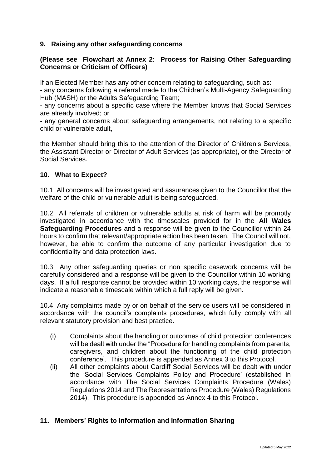## **9. Raising any other safeguarding concerns**

### **(Please see Flowchart at Annex 2: Process for Raising Other Safeguarding Concerns or Criticism of Officers)**

If an Elected Member has any other concern relating to safeguarding, such as:

- any concerns following a referral made to the Children's Multi-Agency Safeguarding Hub (MASH) or the Adults Safeguarding Team;

- any concerns about a specific case where the Member knows that Social Services are already involved; or

- any general concerns about safeguarding arrangements, not relating to a specific child or vulnerable adult,

the Member should bring this to the attention of the Director of Children's Services, the Assistant Director or Director of Adult Services (as appropriate), or the Director of Social Services.

### **10. What to Expect?**

10.1 All concerns will be investigated and assurances given to the Councillor that the welfare of the child or vulnerable adult is being safeguarded.

10.2 All referrals of children or vulnerable adults at risk of harm will be promptly investigated in accordance with the timescales provided for in the **All Wales Safeguarding Procedures** and a response will be given to the Councillor within 24 hours to confirm that relevant/appropriate action has been taken. The Council will not, however, be able to confirm the outcome of any particular investigation due to confidentiality and data protection laws.

10.3 Any other safeguarding queries or non specific casework concerns will be carefully considered and a response will be given to the Councillor within 10 working days. If a full response cannot be provided within 10 working days, the response will indicate a reasonable timescale within which a full reply will be given.

10.4 Any complaints made by or on behalf of the service users will be considered in accordance with the council's complaints procedures, which fully comply with all relevant statutory provision and best practice.

- (i) Complaints about the handling or outcomes of child protection conferences will be dealt with under the "Procedure for handling complaints from parents, caregivers, and children about the functioning of the child protection conference'. This procedure is appended as Annex 3 to this Protocol.
- (ii) All other complaints about Cardiff Social Services will be dealt with under the 'Social Services Complaints Policy and Procedure' (established in accordance with The Social Services Complaints Procedure (Wales) Regulations 2014 and The Representations Procedure (Wales) Regulations 2014). This procedure is appended as Annex 4 to this Protocol.

## **11. Members' Rights to Information and Information Sharing**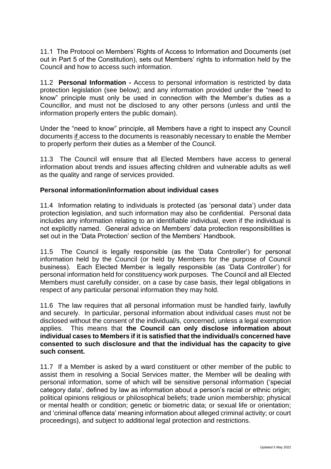11.1 The Protocol on Members' Rights of Access to Information and Documents (set out in Part 5 of the Constitution), sets out Members' rights to information held by the Council and how to access such information.

11.2 **Personal Information -** Access to personal information is restricted by data protection legislation (see below); and any information provided under the "need to know" principle must only be used in connection with the Member's duties as a Councillor, and must not be disclosed to any other persons (unless and until the information properly enters the public domain).

Under the "need to know" principle, all Members have a right to inspect any Council documents if access to the documents is reasonably necessary to enable the Member to properly perform their duties as a Member of the Council.

11.3 The Council will ensure that all Elected Members have access to general information about trends and issues affecting children and vulnerable adults as well as the quality and range of services provided.

## **Personal information/information about individual cases**

11.4 Information relating to individuals is protected (as 'personal data') under data protection legislation, and such information may also be confidential. Personal data includes any information relating to an identifiable individual, even if the individual is not explicitly named. General advice on Members' data protection responsibilities is set out in the 'Data Protection' section of the Members' Handbook.

11.5 The Council is legally responsible (as the 'Data Controller') for personal information held by the Council (or held by Members for the purpose of Council business). Each Elected Member is legally responsible (as 'Data Controller') for personal information held for constituency work purposes. The Council and all Elected Members must carefully consider, on a case by case basis, their legal obligations in respect of any particular personal information they may hold.

11.6 The law requires that all personal information must be handled fairly, lawfully and securely. In particular, personal information about individual cases must not be disclosed without the consent of the individual/s, concerned, unless a legal exemption applies. This means that **the Council can only disclose information about individual cases to Members if it is satisfied that the individual/s concerned have consented to such disclosure and that the individual has the capacity to give such consent.**

11.7 If a Member is asked by a ward constituent or other member of the public to assist them in resolving a Social Services matter, the Member will be dealing with personal information, some of which will be sensitive personal information ('special category data', defined by law as information about a person's racial or ethnic origin; political opinions religious or philosophical beliefs; trade union membership; physical or mental health or condition; genetic or biometric data; or sexual life or orientation; and 'criminal offence data' meaning information about alleged criminal activity; or court proceedings), and subject to additional legal protection and restrictions.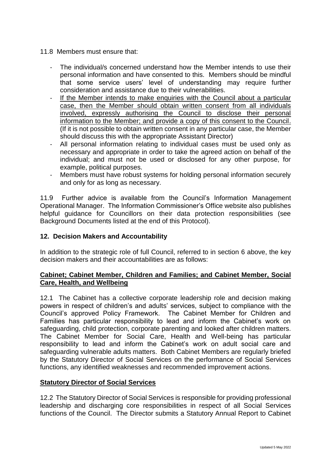#### 11.8 Members must ensure that:

- The individual/s concerned understand how the Member intends to use their personal information and have consented to this. Members should be mindful that some service users' level of understanding may require further consideration and assistance due to their vulnerabilities.
- If the Member intends to make enquiries with the Council about a particular case, then the Member should obtain written consent from all individuals involved, expressly authorising the Council to disclose their personal information to the Member; and provide a copy of this consent to the Council. (If it is not possible to obtain written consent in any particular case, the Member should discuss this with the appropriate Assistant Director)
- All personal information relating to individual cases must be used only as necessary and appropriate in order to take the agreed action on behalf of the individual; and must not be used or disclosed for any other purpose, for example, political purposes.
- Members must have robust systems for holding personal information securely and only for as long as necessary.

11.9 Further advice is available from the Council's Information Management Operational Manager. The Information Commissioner's Office website also publishes helpful guidance for Councillors on their data protection responsibilities (see Background Documents listed at the end of this Protocol).

#### **12. Decision Makers and Accountability**

In addition to the strategic role of full Council, referred to in section 6 above, the key decision makers and their accountabilities are as follows:

### **Cabinet; Cabinet Member, Children and Families; and Cabinet Member, Social Care, Health, and Wellbeing**

12.1 The Cabinet has a collective corporate leadership role and decision making powers in respect of children's and adults' services, subject to compliance with the Council's approved Policy Framework. The Cabinet Member for Children and Families has particular responsibility to lead and inform the Cabinet's work on safeguarding, child protection, corporate parenting and looked after children matters. The Cabinet Member for Social Care, Health and Well-being has particular responsibility to lead and inform the Cabinet's work on adult social care and safeguarding vulnerable adults matters. Both Cabinet Members are regularly briefed by the Statutory Director of Social Services on the performance of Social Services functions, any identified weaknesses and recommended improvement actions.

## **Statutory Director of Social Services**

12.2 The Statutory Director of Social Services is responsible for providing professional leadership and discharging core responsibilities in respect of all Social Services functions of the Council. The Director submits a Statutory Annual Report to Cabinet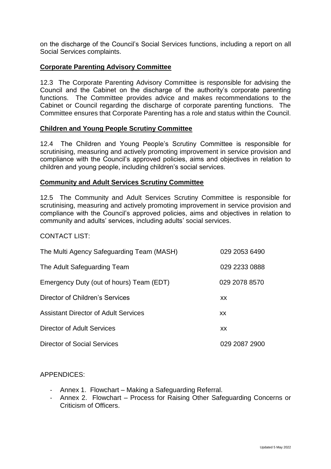on the discharge of the Council's Social Services functions, including a report on all Social Services complaints.

### **Corporate Parenting Advisory Committee**

12.3 The Corporate Parenting Advisory Committee is responsible for advising the Council and the Cabinet on the discharge of the authority's corporate parenting functions. The Committee provides advice and makes recommendations to the Cabinet or Council regarding the discharge of corporate parenting functions. The Committee ensures that Corporate Parenting has a role and status within the Council.

#### **Children and Young People Scrutiny Committee**

12.4 The Children and Young People's Scrutiny Committee is responsible for scrutinising, measuring and actively promoting improvement in service provision and compliance with the Council's approved policies, aims and objectives in relation to children and young people, including children's social services.

#### **Community and Adult Services Scrutiny Committee**

12.5 The Community and Adult Services Scrutiny Committee is responsible for scrutinising, measuring and actively promoting improvement in service provision and compliance with the Council's approved policies, aims and objectives in relation to community and adults' services, including adults' social services.

#### CONTACT LIST:

| The Multi Agency Safeguarding Team (MASH) | 029 2053 6490 |
|-------------------------------------------|---------------|
| The Adult Safeguarding Team               | 029 2233 0888 |
| Emergency Duty (out of hours) Team (EDT)  | 029 2078 8570 |
| Director of Children's Services           | XX            |
| Assistant Director of Adult Services      | XX.           |
| Director of Adult Services                | XX            |
| <b>Director of Social Services</b>        | 029 2087 2900 |

# APPENDICES:

- Annex 1. Flowchart Making a Safeguarding Referral.
- Annex 2. Flowchart Process for Raising Other Safeguarding Concerns or Criticism of Officers.